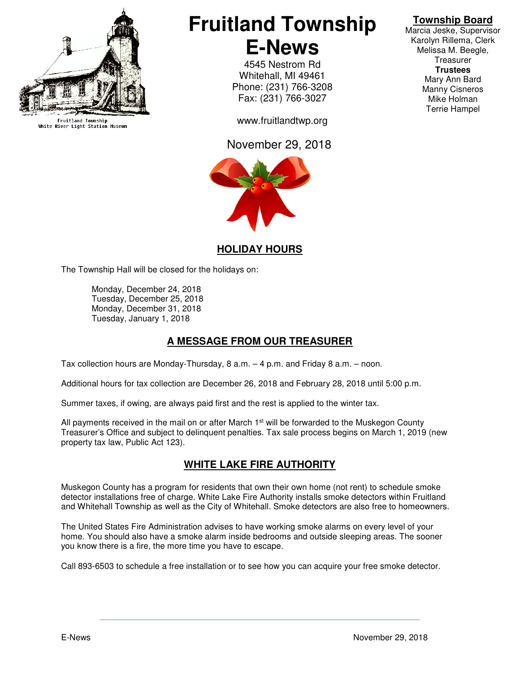

Fruitland Township<br>White River Light Station Museum

# **Fruitland Township E-News**

4545 Nestrom Rd Whitehall, MI 49461 Phone: (231) 766-3208 Fax: (231) 766-3027

www.fruitlandtwp.org

## November 29, 2018



# **Township Board**

Marcia Jeske, Supervisor Karolyn Rillema, Clerk Melissa M. Beegle, **Treasurer Trustees**  Mary Ann Bard Manny Cisneros Mike Holman Terrie Hampel

## **HOLIDAY HOURS**

The Township Hall will be closed for the holidays on:

 Monday, December 24, 2018 Tuesday, December 25, 2018 Monday, December 31, 2018 Tuesday, January 1, 2018

## **A MESSAGE FROM OUR TREASURER**

Tax collection hours are Monday-Thursday, 8 a.m. – 4 p.m. and Friday 8 a.m. – noon.

Additional hours for tax collection are December 26, 2018 and February 28, 2018 until 5:00 p.m.

Summer taxes, if owing, are always paid first and the rest is applied to the winter tax.

All payments received in the mail on or after March  $1<sup>st</sup>$  will be forwarded to the Muskegon County Treasurer's Office and subject to delinquent penalties. Tax sale process begins on March 1, 2019 (new property tax law, Public Act 123).

## **WHITE LAKE FIRE AUTHORITY**

Muskegon County has a program for residents that own their own home (not rent) to schedule smoke detector installations free of charge. White Lake Fire Authority installs smoke detectors within Fruitland and Whitehall Township as well as the City of Whitehall. Smoke detectors are also free to homeowners.

The United States Fire Administration advises to have working smoke alarms on every level of your home. You should also have a smoke alarm inside bedrooms and outside sleeping areas. The sooner you know there is a fire, the more time you have to escape.

Call 893-6503 to schedule a free installation or to see how you can acquire your free smoke detector.